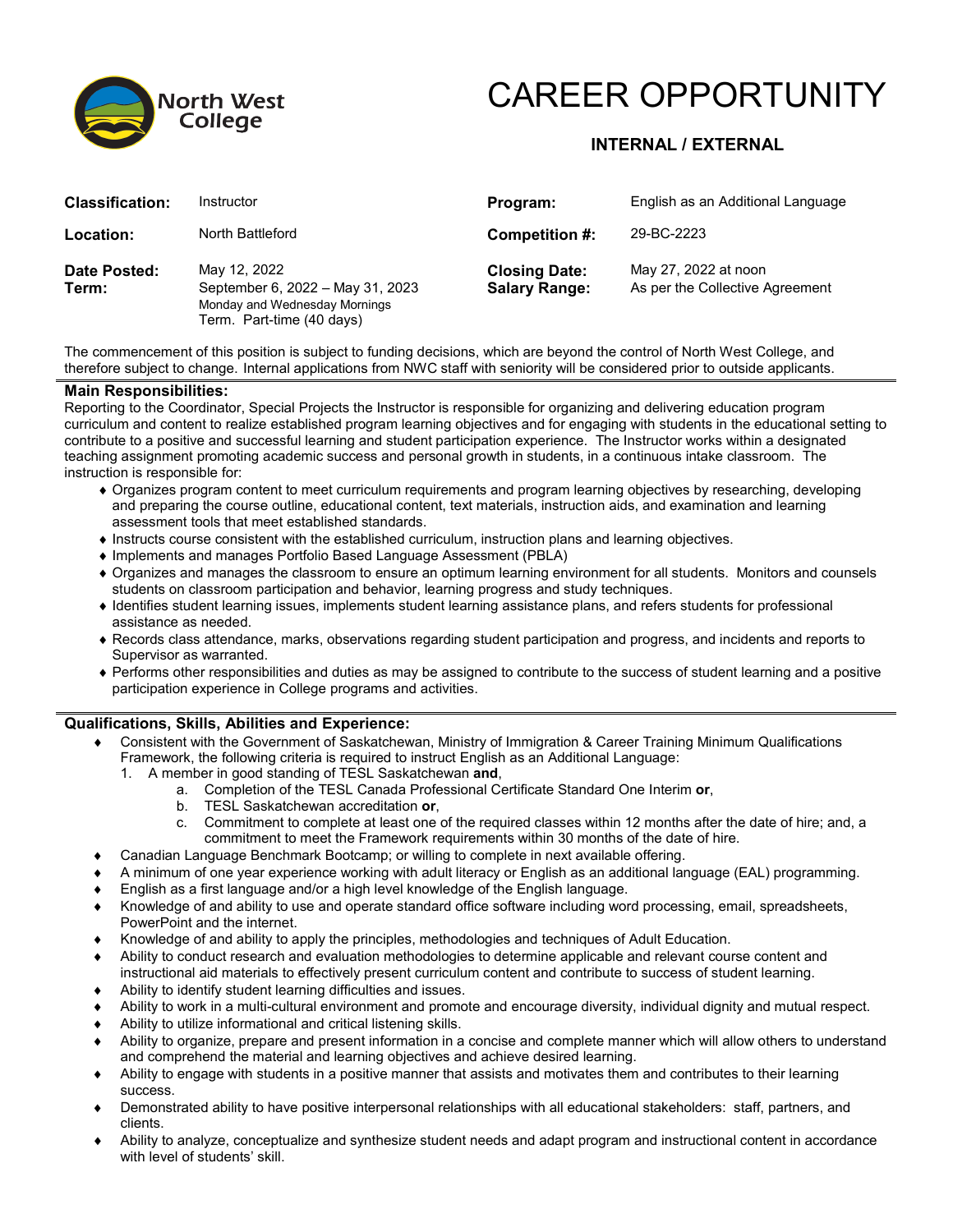

# CAREER OPPORTUNITY

## **INTERNAL / EXTERNAL**

| <b>Classification:</b> | Instructor                                                                                                     | Program:                                     | English as an Additional Language                       |
|------------------------|----------------------------------------------------------------------------------------------------------------|----------------------------------------------|---------------------------------------------------------|
| Location:              | North Battleford                                                                                               | Competition #:                               | 29-BC-2223                                              |
| Date Posted:<br>Term:  | May 12, 2022<br>September 6, 2022 - May 31, 2023<br>Monday and Wednesday Mornings<br>Term. Part-time (40 days) | <b>Closing Date:</b><br><b>Salary Range:</b> | May 27, 2022 at noon<br>As per the Collective Agreement |

The commencement of this position is subject to funding decisions, which are beyond the control of North West College, and therefore subject to change. Internal applications from NWC staff with seniority will be considered prior to outside applicants.

#### **Main Responsibilities:**

Reporting to the Coordinator, Special Projects the Instructor is responsible for organizing and delivering education program curriculum and content to realize established program learning objectives and for engaging with students in the educational setting to contribute to a positive and successful learning and student participation experience. The Instructor works within a designated teaching assignment promoting academic success and personal growth in students, in a continuous intake classroom. The instruction is responsible for:

- ♦ Organizes program content to meet curriculum requirements and program learning objectives by researching, developing and preparing the course outline, educational content, text materials, instruction aids, and examination and learning assessment tools that meet established standards.
- ♦ Instructs course consistent with the established curriculum, instruction plans and learning objectives.
- ♦ Implements and manages Portfolio Based Language Assessment (PBLA)
- ♦ Organizes and manages the classroom to ensure an optimum learning environment for all students. Monitors and counsels students on classroom participation and behavior, learning progress and study techniques.
- ♦ Identifies student learning issues, implements student learning assistance plans, and refers students for professional assistance as needed.
- ♦ Records class attendance, marks, observations regarding student participation and progress, and incidents and reports to Supervisor as warranted.
- ♦ Performs other responsibilities and duties as may be assigned to contribute to the success of student learning and a positive participation experience in College programs and activities.

### **Qualifications, Skills, Abilities and Experience:**

- Consistent with the Government of Saskatchewan, Ministry of Immigration & Career Training Minimum Qualifications Framework, the following criteria is required to instruct English as an Additional Language:
	- 1. A member in good standing of TESL Saskatchewan **and**,
		- a. Completion of the TESL Canada Professional Certificate Standard One Interim **or**,
			- b. TESL Saskatchewan accreditation **or**,
			- c. Commitment to complete at least one of the required classes within 12 months after the date of hire; and, a commitment to meet the Framework requirements within 30 months of the date of hire.
- ♦ Canadian Language Benchmark Bootcamp; or willing to complete in next available offering.
- ♦ A minimum of one year experience working with adult literacy or English as an additional language (EAL) programming.
- English as a first language and/or a high level knowledge of the English language.
- ♦ Knowledge of and ability to use and operate standard office software including word processing, email, spreadsheets, PowerPoint and the internet.
- Knowledge of and ability to apply the principles, methodologies and techniques of Adult Education.
- Ability to conduct research and evaluation methodologies to determine applicable and relevant course content and instructional aid materials to effectively present curriculum content and contribute to success of student learning.
- ♦ Ability to identify student learning difficulties and issues.
- Ability to work in a multi-cultural environment and promote and encourage diversity, individual dignity and mutual respect.
- Ability to utilize informational and critical listening skills.
- ♦ Ability to organize, prepare and present information in a concise and complete manner which will allow others to understand and comprehend the material and learning objectives and achieve desired learning.
- ♦ Ability to engage with students in a positive manner that assists and motivates them and contributes to their learning success.
- ♦ Demonstrated ability to have positive interpersonal relationships with all educational stakeholders: staff, partners, and clients.
- ♦ Ability to analyze, conceptualize and synthesize student needs and adapt program and instructional content in accordance with level of students' skill.